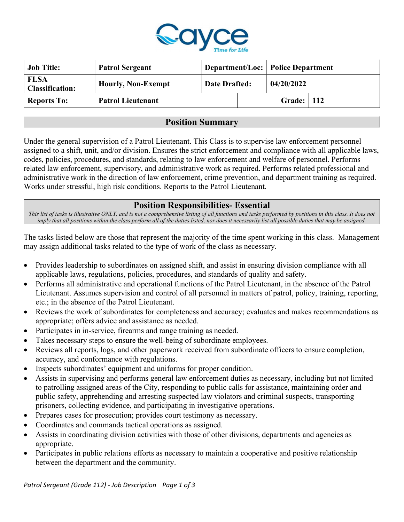

| <b>Job Title:</b>                     | <b>Patrol Sergeant</b>    |                      |  | <b>Department/Loc: Police Department</b> |  |
|---------------------------------------|---------------------------|----------------------|--|------------------------------------------|--|
| <b>FLSA</b><br><b>Classification:</b> | <b>Hourly, Non-Exempt</b> | <b>Date Drafted:</b> |  | 04/20/2022                               |  |
| <b>Reports To:</b>                    | <b>Patrol Lieutenant</b>  |                      |  | <b>Grade:</b>   112                      |  |

## Position Summary

Under the general supervision of a Patrol Lieutenant. This Class is to supervise law enforcement personnel assigned to a shift, unit, and/or division. Ensures the strict enforcement and compliance with all applicable laws, codes, policies, procedures, and standards, relating to law enforcement and welfare of personnel. Performs related law enforcement, supervisory, and administrative work as required. Performs related professional and administrative work in the direction of law enforcement, crime prevention, and department training as required. Works under stressful, high risk conditions. Reports to the Patrol Lieutenant.

# Position Responsibilities- Essential

This list of tasks is illustrative ONLY, and is not a comprehensive listing of all functions and tasks performed by positions in this class. It does not imply that all positions within the class perform all of the duties listed, nor does it necessarily list all possible duties that may be assigned.

The tasks listed below are those that represent the majority of the time spent working in this class. Management may assign additional tasks related to the type of work of the class as necessary.

- Provides leadership to subordinates on assigned shift, and assist in ensuring division compliance with all applicable laws, regulations, policies, procedures, and standards of quality and safety.
- Performs all administrative and operational functions of the Patrol Lieutenant, in the absence of the Patrol Lieutenant. Assumes supervision and control of all personnel in matters of patrol, policy, training, reporting, etc.; in the absence of the Patrol Lieutenant.
- Reviews the work of subordinates for completeness and accuracy; evaluates and makes recommendations as appropriate; offers advice and assistance as needed.
- Participates in in-service, firearms and range training as needed.
- Takes necessary steps to ensure the well-being of subordinate employees.
- Reviews all reports, logs, and other paperwork received from subordinate officers to ensure completion, accuracy, and conformance with regulations.
- Inspects subordinates' equipment and uniforms for proper condition.
- Assists in supervising and performs general law enforcement duties as necessary, including but not limited to patrolling assigned areas of the City, responding to public calls for assistance, maintaining order and public safety, apprehending and arresting suspected law violators and criminal suspects, transporting prisoners, collecting evidence, and participating in investigative operations.
- Prepares cases for prosecution; provides court testimony as necessary.
- Coordinates and commands tactical operations as assigned.
- Assists in coordinating division activities with those of other divisions, departments and agencies as appropriate.
- Participates in public relations efforts as necessary to maintain a cooperative and positive relationship between the department and the community.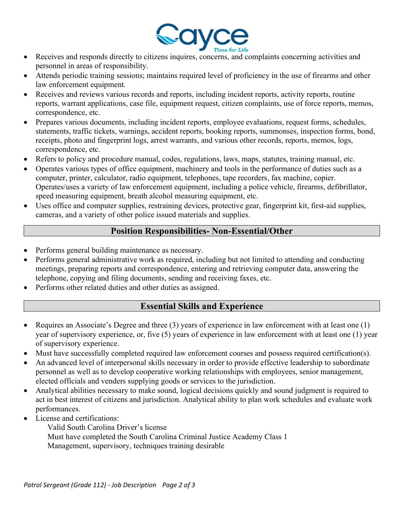

- Receives and responds directly to citizens inquires, concerns, and complaints concerning activities and personnel in areas of responsibility.
- Attends periodic training sessions; maintains required level of proficiency in the use of firearms and other law enforcement equipment.
- Receives and reviews various records and reports, including incident reports, activity reports, routine reports, warrant applications, case file, equipment request, citizen complaints, use of force reports, memos, correspondence, etc.
- Prepares various documents, including incident reports, employee evaluations, request forms, schedules, statements, traffic tickets, warnings, accident reports, booking reports, summonses, inspection forms, bond, receipts, photo and fingerprint logs, arrest warrants, and various other records, reports, memos, logs, correspondence, etc.
- Refers to policy and procedure manual, codes, regulations, laws, maps, statutes, training manual, etc.
- Operates various types of office equipment, machinery and tools in the performance of duties such as a computer, printer, calculator, radio equipment, telephones, tape recorders, fax machine, copier. Operates/uses a variety of law enforcement equipment, including a police vehicle, firearms, defibrillator, speed measuring equipment, breath alcohol measuring equipment, etc.
- Uses office and computer supplies, restraining devices, protective gear, fingerprint kit, first-aid supplies, cameras, and a variety of other police issued materials and supplies.

# Position Responsibilities- Non-Essential/Other

- Performs general building maintenance as necessary.
- Performs general administrative work as required, including but not limited to attending and conducting meetings, preparing reports and correspondence, entering and retrieving computer data, answering the telephone, copying and filing documents, sending and receiving faxes, etc.
- Performs other related duties and other duties as assigned.

# Essential Skills and Experience

- Requires an Associate's Degree and three (3) years of experience in law enforcement with at least one (1) year of supervisory experience, or, five (5) years of experience in law enforcement with at least one (1) year of supervisory experience.
- Must have successfully completed required law enforcement courses and possess required certification(s).
- An advanced level of interpersonal skills necessary in order to provide effective leadership to subordinate personnel as well as to develop cooperative working relationships with employees, senior management, elected officials and venders supplying goods or services to the jurisdiction.
- Analytical abilities necessary to make sound, logical decisions quickly and sound judgment is required to act in best interest of citizens and jurisdiction. Analytical ability to plan work schedules and evaluate work performances.
- License and certifications:

Valid South Carolina Driver's license Must have completed the South Carolina Criminal Justice Academy Class 1 Management, supervisory, techniques training desirable